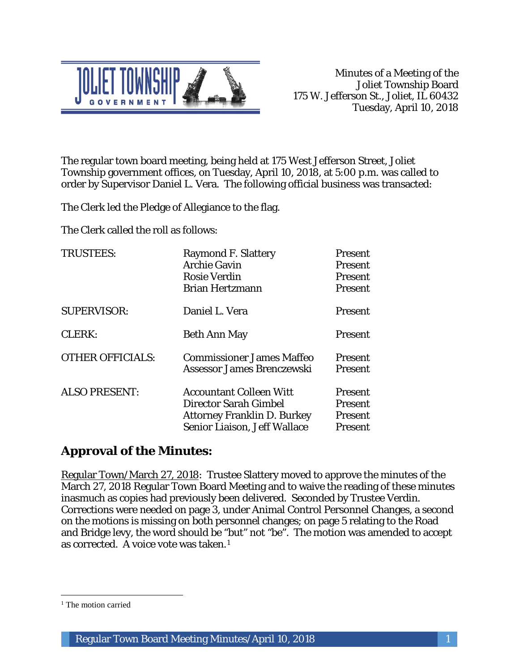

The regular town board meeting, being held at 175 West Jefferson Street, Joliet Township government offices, on Tuesday, April 10, 2018, at 5:00 p.m. was called to order by Supervisor Daniel L. Vera. The following official business was transacted:

The Clerk led the Pledge of Allegiance to the flag.

The Clerk called the roll as follows:

| <b>TRUSTEES:</b>        | <b>Raymond F. Slattery</b><br><b>Archie Gavin</b><br><b>Rosie Verdin</b><br><b>Brian Hertzmann</b>                            | <b>Present</b><br>Present<br>Present<br><b>Present</b> |
|-------------------------|-------------------------------------------------------------------------------------------------------------------------------|--------------------------------------------------------|
| <b>SUPERVISOR:</b>      | Daniel L. Vera                                                                                                                | Present                                                |
| <b>CLERK:</b>           | Beth Ann May                                                                                                                  | Present                                                |
| <b>OTHER OFFICIALS:</b> | <b>Commissioner James Maffeo</b><br>Assessor James Brenczewski                                                                | <b>Present</b><br><b>Present</b>                       |
| <b>ALSO PRESENT:</b>    | <b>Accountant Colleen Witt</b><br>Director Sarah Gimbel<br><b>Attorney Franklin D. Burkey</b><br>Senior Liaison, Jeff Wallace | <b>Present</b><br>Present<br>Present<br>Present        |

# **Approval of the Minutes:**

Regular Town/March 27, 2018: Trustee Slattery moved to approve the minutes of the March 27, 2018 Regular Town Board Meeting and to waive the reading of these minutes inasmuch as copies had previously been delivered. Seconded by Trustee Verdin. Corrections were needed on page 3, under Animal Control Personnel Changes, a second on the motions is missing on both personnel changes; on page 5 relating to the Road and Bridge levy, the word should be "but" not "be". The motion was amended to accept as corrected. A voice vote was taken.1

 $\overline{a}$ 

<sup>&</sup>lt;sup>1</sup> The motion carried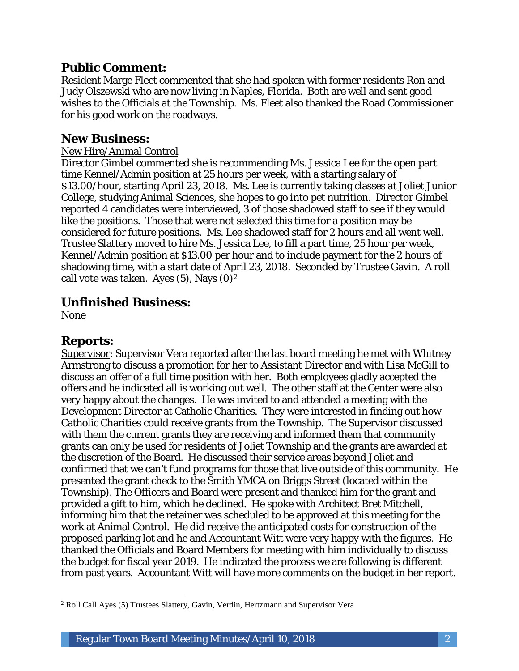### **Public Comment:**

Resident Marge Fleet commented that she had spoken with former residents Ron and Judy Olszewski who are now living in Naples, Florida. Both are well and sent good wishes to the Officials at the Township. Ms. Fleet also thanked the Road Commissioner for his good work on the roadways.

### **New Business:**

#### New Hire/Animal Control

Director Gimbel commented she is recommending Ms. Jessica Lee for the open part time Kennel/Admin position at 25 hours per week, with a starting salary of \$13.00/hour, starting April 23, 2018. Ms. Lee is currently taking classes at Joliet Junior College, studying Animal Sciences, she hopes to go into pet nutrition. Director Gimbel reported 4 candidates were interviewed, 3 of those shadowed staff to see if they would like the positions. Those that were not selected this time for a position may be considered for future positions. Ms. Lee shadowed staff for 2 hours and all went well. Trustee Slattery moved to hire Ms. Jessica Lee, to fill a part time, 25 hour per week, Kennel/Admin position at \$13.00 per hour and to include payment for the 2 hours of shadowing time, with a start date of April 23, 2018. Seconded by Trustee Gavin. A roll call vote was taken. Ayes  $(5)$ , Nays  $(0)<sup>2</sup>$ 

#### **Unfinished Business:**

None

## **Reports:**

Supervisor: Supervisor Vera reported after the last board meeting he met with Whitney Armstrong to discuss a promotion for her to Assistant Director and with Lisa McGill to discuss an offer of a full time position with her. Both employees gladly accepted the offers and he indicated all is working out well. The other staff at the Center were also very happy about the changes. He was invited to and attended a meeting with the Development Director at Catholic Charities. They were interested in finding out how Catholic Charities could receive grants from the Township. The Supervisor discussed with them the current grants they are receiving and informed them that community grants can only be used for residents of Joliet Township and the grants are awarded at the discretion of the Board. He discussed their service areas beyond Joliet and confirmed that we can't fund programs for those that live outside of this community. He presented the grant check to the Smith YMCA on Briggs Street (located within the Township). The Officers and Board were present and thanked him for the grant and provided a gift to him, which he declined. He spoke with Architect Bret Mitchell, informing him that the retainer was scheduled to be approved at this meeting for the work at Animal Control. He did receive the anticipated costs for construction of the proposed parking lot and he and Accountant Witt were very happy with the figures. He thanked the Officials and Board Members for meeting with him individually to discuss the budget for fiscal year 2019. He indicated the process we are following is different from past years. Accountant Witt will have more comments on the budget in her report.

 $\overline{a}$ <sup>2</sup> Roll Call Ayes (5) Trustees Slattery, Gavin, Verdin, Hertzmann and Supervisor Vera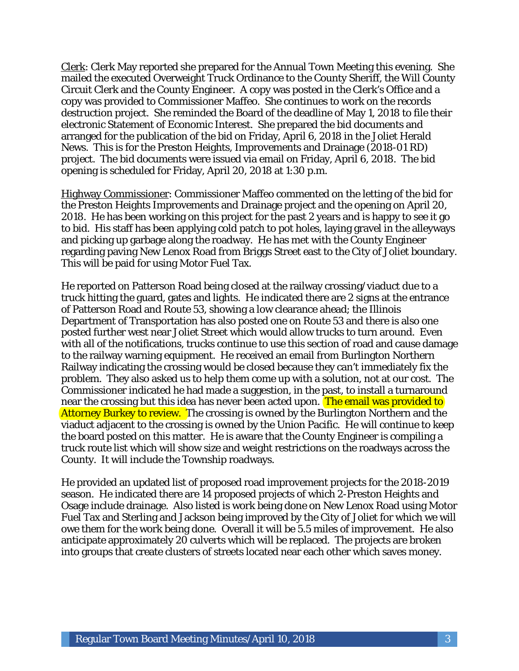Clerk: Clerk May reported she prepared for the Annual Town Meeting this evening. She mailed the executed Overweight Truck Ordinance to the County Sheriff, the Will County Circuit Clerk and the County Engineer. A copy was posted in the Clerk's Office and a copy was provided to Commissioner Maffeo. She continues to work on the records destruction project. She reminded the Board of the deadline of May 1, 2018 to file their electronic Statement of Economic Interest. She prepared the bid documents and arranged for the publication of the bid on Friday, April 6, 2018 in the Joliet Herald News. This is for the Preston Heights, Improvements and Drainage (2018-01 RD) project. The bid documents were issued via email on Friday, April 6, 2018. The bid opening is scheduled for Friday, April 20, 2018 at 1:30 p.m.

Highway Commissioner: Commissioner Maffeo commented on the letting of the bid for the Preston Heights Improvements and Drainage project and the opening on April 20, 2018. He has been working on this project for the past 2 years and is happy to see it go to bid. His staff has been applying cold patch to pot holes, laying gravel in the alleyways and picking up garbage along the roadway. He has met with the County Engineer regarding paving New Lenox Road from Briggs Street east to the City of Joliet boundary. This will be paid for using Motor Fuel Tax.

He reported on Patterson Road being closed at the railway crossing/viaduct due to a truck hitting the guard, gates and lights. He indicated there are 2 signs at the entrance of Patterson Road and Route 53, showing a low clearance ahead; the Illinois Department of Transportation has also posted one on Route 53 and there is also one posted further west near Joliet Street which would allow trucks to turn around. Even with all of the notifications, trucks continue to use this section of road and cause damage to the railway warning equipment. He received an email from Burlington Northern Railway indicating the crossing would be closed because they can't immediately fix the problem. They also asked us to help them come up with a solution, not at our cost. The Commissioner indicated he had made a suggestion, in the past, to install a turnaround near the crossing but this idea has never been acted upon. The email was provided to Attorney Burkey to review. The crossing is owned by the Burlington Northern and the viaduct adjacent to the crossing is owned by the Union Pacific. He will continue to keep the board posted on this matter. He is aware that the County Engineer is compiling a truck route list which will show size and weight restrictions on the roadways across the County. It will include the Township roadways.

He provided an updated list of proposed road improvement projects for the 2018-2019 season. He indicated there are 14 proposed projects of which 2-Preston Heights and Osage include drainage. Also listed is work being done on New Lenox Road using Motor Fuel Tax and Sterling and Jackson being improved by the City of Joliet for which we will owe them for the work being done. Overall it will be 5.5 miles of improvement. He also anticipate approximately 20 culverts which will be replaced. The projects are broken into groups that create clusters of streets located near each other which saves money.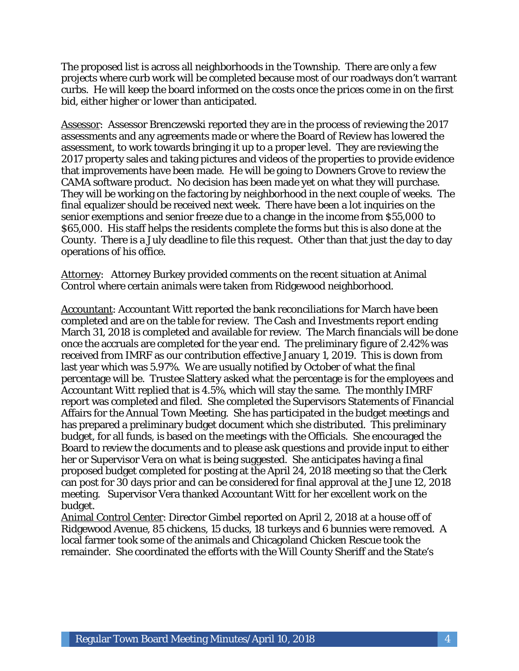The proposed list is across all neighborhoods in the Township. There are only a few projects where curb work will be completed because most of our roadways don't warrant curbs. He will keep the board informed on the costs once the prices come in on the first bid, either higher or lower than anticipated.

Assessor: Assessor Brenczewski reported they are in the process of reviewing the 2017 assessments and any agreements made or where the Board of Review has lowered the assessment, to work towards bringing it up to a proper level. They are reviewing the 2017 property sales and taking pictures and videos of the properties to provide evidence that improvements have been made. He will be going to Downers Grove to review the CAMA software product. No decision has been made yet on what they will purchase. They will be working on the factoring by neighborhood in the next couple of weeks. The final equalizer should be received next week. There have been a lot inquiries on the senior exemptions and senior freeze due to a change in the income from \$55,000 to \$65,000. His staff helps the residents complete the forms but this is also done at the County. There is a July deadline to file this request. Other than that just the day to day operations of his office.

Attorney: Attorney Burkey provided comments on the recent situation at Animal Control where certain animals were taken from Ridgewood neighborhood.

Accountant: Accountant Witt reported the bank reconciliations for March have been completed and are on the table for review. The Cash and Investments report ending March 31, 2018 is completed and available for review. The March financials will be done once the accruals are completed for the year end. The preliminary figure of 2.42% was received from IMRF as our contribution effective January 1, 2019. This is down from last year which was 5.97%. We are usually notified by October of what the final percentage will be. Trustee Slattery asked what the percentage is for the employees and Accountant Witt replied that is 4.5%, which will stay the same. The monthly IMRF report was completed and filed. She completed the Supervisors Statements of Financial Affairs for the Annual Town Meeting. She has participated in the budget meetings and has prepared a preliminary budget document which she distributed. This preliminary budget, for all funds, is based on the meetings with the Officials. She encouraged the Board to review the documents and to please ask questions and provide input to either her or Supervisor Vera on what is being suggested. She anticipates having a final proposed budget completed for posting at the April 24, 2018 meeting so that the Clerk can post for 30 days prior and can be considered for final approval at the June 12, 2018 meeting. Supervisor Vera thanked Accountant Witt for her excellent work on the budget.

Animal Control Center: Director Gimbel reported on April 2, 2018 at a house off of Ridgewood Avenue, 85 chickens, 15 ducks, 18 turkeys and 6 bunnies were removed. A local farmer took some of the animals and Chicagoland Chicken Rescue took the remainder. She coordinated the efforts with the Will County Sheriff and the State's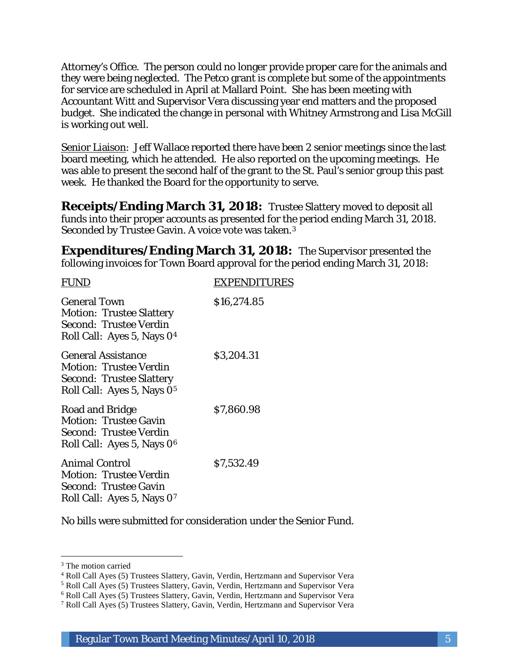Attorney's Office. The person could no longer provide proper care for the animals and they were being neglected. The Petco grant is complete but some of the appointments for service are scheduled in April at Mallard Point. She has been meeting with Accountant Witt and Supervisor Vera discussing year end matters and the proposed budget. She indicated the change in personal with Whitney Armstrong and Lisa McGill is working out well.

Senior Liaison: Jeff Wallace reported there have been 2 senior meetings since the last board meeting, which he attended. He also reported on the upcoming meetings. He was able to present the second half of the grant to the St. Paul's senior group this past week. He thanked the Board for the opportunity to serve.

**Receipts/Ending March 31, 2018:** Trustee Slattery moved to deposit all funds into their proper accounts as presented for the period ending March 31, 2018. Seconded by Trustee Gavin. A voice vote was taken.3

**Expenditures/Ending March 31, 2018:** The Supervisor presented the following invoices for Town Board approval for the period ending March 31, 2018:

| FUND                                                                                                                                    | <b>EXPENDITURES</b> |
|-----------------------------------------------------------------------------------------------------------------------------------------|---------------------|
| <b>General Town</b><br><b>Motion: Trustee Slattery</b><br>Second: Trustee Verdin<br>Roll Call: Ayes 5, Nays 04                          | \$16,274.85         |
| <b>General Assistance</b><br><b>Motion: Trustee Verdin</b><br><b>Second: Trustee Slattery</b><br>Roll Call: Ayes 5, Nays 0 <sup>5</sup> | \$3,204.31          |
| Road and Bridge<br><b>Motion: Trustee Gavin</b><br>Second: Trustee Verdin<br>Roll Call: Ayes 5, Nays 0 <sup>6</sup>                     | \$7,860.98          |
| <b>Animal Control</b><br><b>Motion: Trustee Verdin</b><br><b>Second: Trustee Gavin</b><br>Roll Call: Ayes 5, Nays 07                    | \$7,532.49          |
|                                                                                                                                         |                     |

No bills were submitted for consideration under the Senior Fund.

I

<sup>&</sup>lt;sup>3</sup> The motion carried

<sup>4</sup> Roll Call Ayes (5) Trustees Slattery, Gavin, Verdin, Hertzmann and Supervisor Vera

<sup>5</sup> Roll Call Ayes (5) Trustees Slattery, Gavin, Verdin, Hertzmann and Supervisor Vera

<sup>6</sup> Roll Call Ayes (5) Trustees Slattery, Gavin, Verdin, Hertzmann and Supervisor Vera

<sup>7</sup> Roll Call Ayes (5) Trustees Slattery, Gavin, Verdin, Hertzmann and Supervisor Vera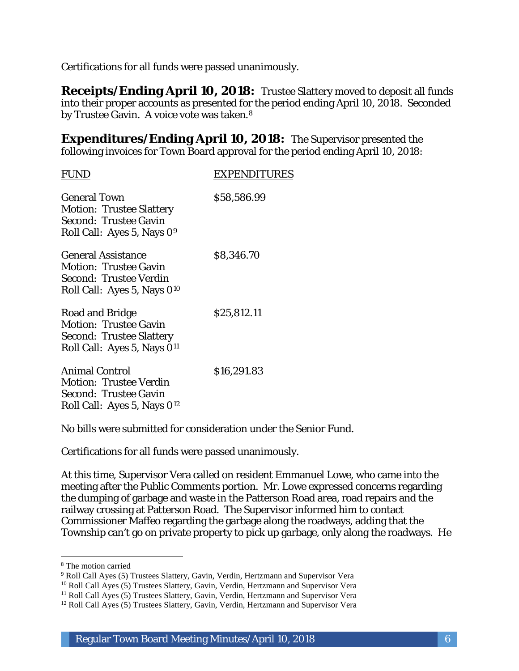Certifications for all funds were passed unanimously.

**Receipts/Ending April 10, 2018:** Trustee Slattery moved to deposit all funds into their proper accounts as presented for the period ending April 10, 2018. Seconded by Trustee Gavin. A voice vote was taken.8

**Expenditures/Ending April 10, 2018:** The Supervisor presented the following invoices for Town Board approval for the period ending April 10, 2018:

| <b>FUND</b>                                                                                                                           | <b>EXPENDITURES</b> |
|---------------------------------------------------------------------------------------------------------------------------------------|---------------------|
| <b>General Town</b><br><b>Motion: Trustee Slattery</b><br><b>Second: Trustee Gavin</b><br>Roll Call: Ayes 5, Nays 0 <sup>9</sup>      | \$58,586.99         |
| <b>General Assistance</b><br><b>Motion: Trustee Gavin</b><br><b>Second: Trustee Verdin</b><br>Roll Call: Ayes 5, Nays 0 <sup>10</sup> | \$8,346.70          |
| <b>Road and Bridge</b><br><b>Motion: Trustee Gavin</b><br><b>Second: Trustee Slattery</b><br>Roll Call: Ayes 5, Nays 0 <sup>11</sup>  | \$25,812.11         |
| <b>Animal Control</b><br><b>Motion: Trustee Verdin</b><br>Second: Trustee Gavin<br>Roll Call: Ayes 5, Nays 0 <sup>12</sup>            | \$16,291.83         |

No bills were submitted for consideration under the Senior Fund.

Certifications for all funds were passed unanimously.

At this time, Supervisor Vera called on resident Emmanuel Lowe, who came into the meeting after the Public Comments portion. Mr. Lowe expressed concerns regarding the dumping of garbage and waste in the Patterson Road area, road repairs and the railway crossing at Patterson Road. The Supervisor informed him to contact Commissioner Maffeo regarding the garbage along the roadways, adding that the Township can't go on private property to pick up garbage, only along the roadways. He

I <sup>8</sup> The motion carried

<sup>9</sup> Roll Call Ayes (5) Trustees Slattery, Gavin, Verdin, Hertzmann and Supervisor Vera

<sup>&</sup>lt;sup>10</sup> Roll Call Ayes (5) Trustees Slattery, Gavin, Verdin, Hertzmann and Supervisor Vera

<sup>&</sup>lt;sup>11</sup> Roll Call Ayes (5) Trustees Slattery, Gavin, Verdin, Hertzmann and Supervisor Vera

<sup>&</sup>lt;sup>12</sup> Roll Call Ayes (5) Trustees Slattery, Gavin, Verdin, Hertzmann and Supervisor Vera